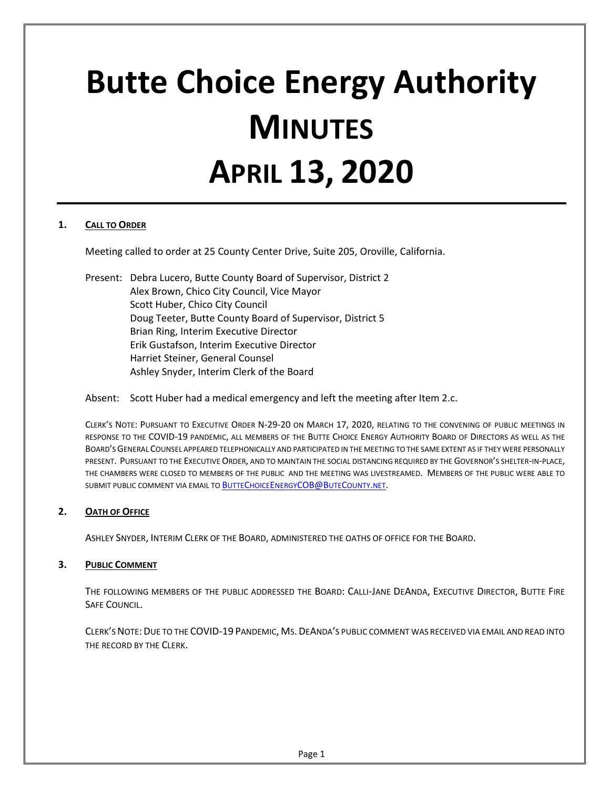# **Butte Choice Energy Authority MINUTES APRIL 13, 2020**

## **1. CALL TO ORDER**

Meeting called to order at 25 County Center Drive, Suite 205, Oroville, California.

Present: Debra Lucero, Butte County Board of Supervisor, District 2 Alex Brown, Chico City Council, Vice Mayor Scott Huber, Chico City Council Doug Teeter, Butte County Board of Supervisor, District 5 Brian Ring, Interim Executive Director Erik Gustafson, Interim Executive Director Harriet Steiner, General Counsel Ashley Snyder, Interim Clerk of the Board

## Absent: Scott Huber had a medical emergency and left the meeting after Item 2.c.

CLERK'S NOTE: PURSUANT TO EXECUTIVE ORDER N-29-20 ON MARCH 17, 2020, RELATING TO THE CONVENING OF PUBLIC MEETINGS IN RESPONSE TO THE COVID-19 PANDEMIC, ALL MEMBERS OF THE BUTTE CHOICE ENERGY AUTHORITY BOARD OF DIRECTORS AS WELL AS THE BOARD'S GENERAL COUNSEL APPEARED TELEPHONICALLY AND PARTICIPATED IN THE MEETING TO THE SAME EXTENT AS IF THEY WERE PERSONALLY PRESENT. PURSUANT TO THE EXECUTIVE ORDER, AND TO MAINTAIN THE SOCIAL DISTANCING REQUIRED BY THE GOVERNOR'S SHELTER-IN-PLACE, THE CHAMBERS WERE CLOSED TO MEMBERS OF THE PUBLIC AND THE MEETING WAS LIVESTREAMED. MEMBERS OF THE PUBLIC WERE ABLE TO SUBMIT PUBLIC COMMENT VIA EMAIL T[O BUTTECHOICEENERGYCOB@BUTECOUNTY.NET.](mailto:ButteChoiceEnergyCOB@ButeCounty.net)

## **2. OATH OF OFFICE**

ASHLEY SNYDER, INTERIM CLERK OF THE BOARD, ADMINISTERED THE OATHS OF OFFICE FOR THE BOARD.

## **3. PUBLIC COMMENT**

THE FOLLOWING MEMBERS OF THE PUBLIC ADDRESSED THE BOARD: CALLI-JANE DEANDA, EXECUTIVE DIRECTOR, BUTTE FIRE SAFE COUNCIL.

CLERK'S NOTE:DUE TO THE COVID-19 PANDEMIC, MS.DEANDA'S PUBLIC COMMENT WAS RECEIVED VIA EMAIL AND READ INTO THE RECORD BY THE CLERK.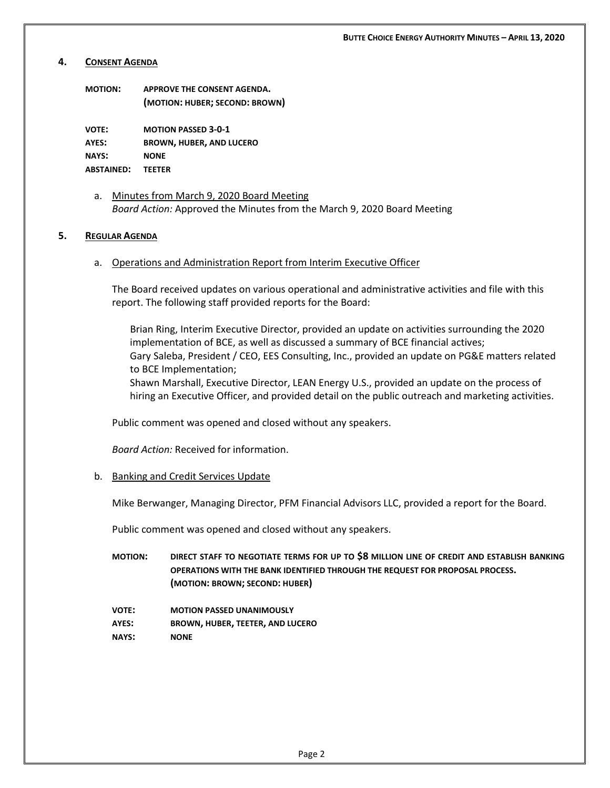#### **4. CONSENT AGENDA**

| ΜΟΤΙΟΝ: | APPROVE THE CONSENT AGENDA.    |
|---------|--------------------------------|
|         | (MOTION: HUBER; SECOND: BROWN) |

**VOTE: MOTION PASSED 3-0-1 AYES: BROWN, HUBER, AND LUCERO NAYS: NONE ABSTAINED: TEETER**

a. Minutes from March 9, 2020 Board Meeting *Board Action:* Approved the Minutes from the March 9, 2020 Board Meeting

#### **5. REGULAR AGENDA**

a. Operations and Administration Report from Interim Executive Officer

The Board received updates on various operational and administrative activities and file with this report. The following staff provided reports for the Board:

Brian Ring, Interim Executive Director, provided an update on activities surrounding the 2020 implementation of BCE, as well as discussed a summary of BCE financial actives; Gary Saleba, President / CEO, EES Consulting, Inc., provided an update on PG&E matters related to BCE Implementation;

Shawn Marshall, Executive Director, LEAN Energy U.S., provided an update on the process of hiring an Executive Officer, and provided detail on the public outreach and marketing activities.

Public comment was opened and closed without any speakers.

*Board Action:* Received for information.

#### b. Banking and Credit Services Update

Mike Berwanger, Managing Director, PFM Financial Advisors LLC, provided a report for the Board.

Public comment was opened and closed without any speakers.

- **MOTION: DIRECT STAFF TO NEGOTIATE TERMS FOR UP TO \$8 MILLION LINE OF CREDIT AND ESTABLISH BANKING OPERATIONS WITH THE BANK IDENTIFIED THROUGH THE REQUEST FOR PROPOSAL PROCESS. (MOTION: BROWN; SECOND: HUBER)**
- **VOTE: MOTION PASSED UNANIMOUSLY AYES: BROWN, HUBER, TEETER, AND LUCERO NAYS: NONE**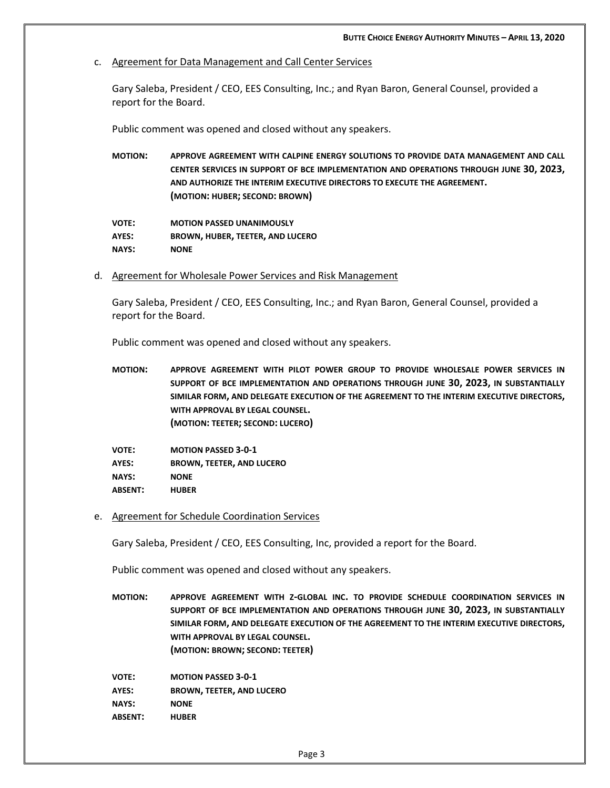c. Agreement for Data Management and Call Center Services

Gary Saleba, President / CEO, EES Consulting, Inc.; and Ryan Baron, General Counsel, provided a report for the Board.

Public comment was opened and closed without any speakers.

**MOTION: APPROVE AGREEMENT WITH CALPINE ENERGY SOLUTIONS TO PROVIDE DATA MANAGEMENT AND CALL CENTER SERVICES IN SUPPORT OF BCE IMPLEMENTATION AND OPERATIONS THROUGH JUNE 30, 2023, AND AUTHORIZE THE INTERIM EXECUTIVE DIRECTORS TO EXECUTE THE AGREEMENT. (MOTION: HUBER; SECOND: BROWN)**

**VOTE: MOTION PASSED UNANIMOUSLY AYES: BROWN, HUBER, TEETER, AND LUCERO NAYS: NONE**

d. Agreement for Wholesale Power Services and Risk Management

Gary Saleba, President / CEO, EES Consulting, Inc.; and Ryan Baron, General Counsel, provided a report for the Board.

Public comment was opened and closed without any speakers.

**MOTION: APPROVE AGREEMENT WITH PILOT POWER GROUP TO PROVIDE WHOLESALE POWER SERVICES IN SUPPORT OF BCE IMPLEMENTATION AND OPERATIONS THROUGH JUNE 30, 2023, IN SUBSTANTIALLY SIMILAR FORM, AND DELEGATE EXECUTION OF THE AGREEMENT TO THE INTERIM EXECUTIVE DIRECTORS, WITH APPROVAL BY LEGAL COUNSEL. (MOTION: TEETER; SECOND: LUCERO)**

| <b>VOTE:</b>   | <b>MOTION PASSED 3-0-1</b>       |
|----------------|----------------------------------|
| AYES:          | <b>BROWN, TEETER, AND LUCERO</b> |
| <b>NAYS:</b>   | <b>NONE</b>                      |
| <b>ABSENT:</b> | <b>HUBER</b>                     |

e. Agreement for Schedule Coordination Services

Gary Saleba, President / CEO, EES Consulting, Inc, provided a report for the Board.

Public comment was opened and closed without any speakers.

**MOTION: APPROVE AGREEMENT WITH Z-GLOBAL INC. TO PROVIDE SCHEDULE COORDINATION SERVICES IN SUPPORT OF BCE IMPLEMENTATION AND OPERATIONS THROUGH JUNE 30, 2023, IN SUBSTANTIALLY SIMILAR FORM, AND DELEGATE EXECUTION OF THE AGREEMENT TO THE INTERIM EXECUTIVE DIRECTORS, WITH APPROVAL BY LEGAL COUNSEL. (MOTION: BROWN; SECOND: TEETER)**

**VOTE: MOTION PASSED 3-0-1 AYES: BROWN, TEETER, AND LUCERO NAYS: NONE ABSENT: HUBER**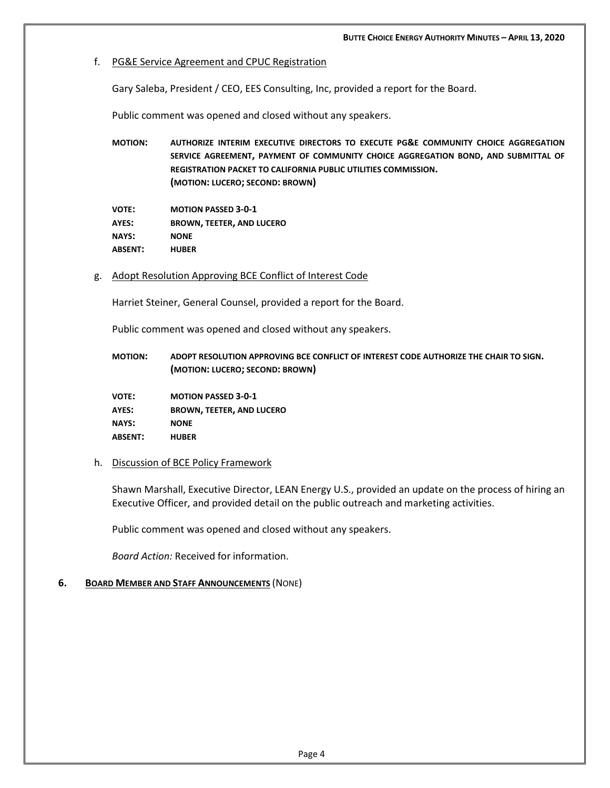## f. PG&E Service Agreement and CPUC Registration

Gary Saleba, President / CEO, EES Consulting, Inc, provided a report for the Board.

Public comment was opened and closed without any speakers.

**MOTION: AUTHORIZE INTERIM EXECUTIVE DIRECTORS TO EXECUTE PG&E COMMUNITY CHOICE AGGREGATION SERVICE AGREEMENT, PAYMENT OF COMMUNITY CHOICE AGGREGATION BOND, AND SUBMITTAL OF REGISTRATION PACKET TO CALIFORNIA PUBLIC UTILITIES COMMISSION. (MOTION: LUCERO; SECOND: BROWN)**

**VOTE: MOTION PASSED 3-0-1 AYES: BROWN, TEETER, AND LUCERO NAYS: NONE ABSENT: HUBER**

g. Adopt Resolution Approving BCE Conflict of Interest Code

Harriet Steiner, General Counsel, provided a report for the Board.

Public comment was opened and closed without any speakers.

**MOTION: ADOPT RESOLUTION APPROVING BCE CONFLICT OF INTEREST CODE AUTHORIZE THE CHAIR TO SIGN. (MOTION: LUCERO; SECOND: BROWN)**

**VOTE: MOTION PASSED 3-0-1 AYES: BROWN, TEETER, AND LUCERO NAYS: NONE ABSENT: HUBER**

### h. Discussion of BCE Policy Framework

Shawn Marshall, Executive Director, LEAN Energy U.S., provided an update on the process of hiring an Executive Officer, and provided detail on the public outreach and marketing activities.

Public comment was opened and closed without any speakers.

*Board Action:* Received for information.

## **6. BOARD MEMBER AND STAFF ANNOUNCEMENTS** (NONE)